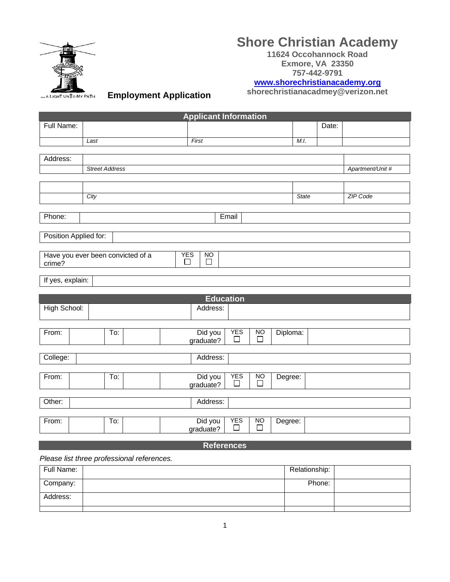

# **Shore Christian Academy**

**11624 Occohannock Road Exmore, VA 23350 757-442-9791**

**[www.shorechristianacademy.org](http://www.shorechristianacademy.org/)**

**shorechristianacadmey@verizon.net**

**Employment Application** 

|                       |                       |                                   |   | <b>Applicant Information</b>      |                       |                     |          |              |       |                  |
|-----------------------|-----------------------|-----------------------------------|---|-----------------------------------|-----------------------|---------------------|----------|--------------|-------|------------------|
| Full Name:            |                       |                                   |   |                                   |                       |                     |          |              | Date: |                  |
|                       | Last                  |                                   |   | First                             |                       |                     |          | M.I.         |       |                  |
|                       |                       |                                   |   |                                   |                       |                     |          |              |       |                  |
| Address:              |                       |                                   |   |                                   |                       |                     |          |              |       |                  |
|                       | <b>Street Address</b> |                                   |   |                                   |                       |                     |          |              |       | Apartment/Unit # |
|                       |                       |                                   |   |                                   |                       |                     |          |              |       |                  |
|                       |                       |                                   |   |                                   |                       |                     |          |              |       |                  |
|                       | City                  |                                   |   |                                   |                       |                     |          | <b>State</b> |       | <b>ZIP Code</b>  |
|                       |                       |                                   |   |                                   |                       |                     |          |              |       |                  |
| Phone:                |                       |                                   |   |                                   | Email                 |                     |          |              |       |                  |
| Position Applied for: |                       |                                   |   |                                   |                       |                     |          |              |       |                  |
|                       |                       |                                   |   |                                   |                       |                     |          |              |       |                  |
| crime?                |                       | Have you ever been convicted of a | П | <b>YES</b><br>N <sub>O</sub><br>□ |                       |                     |          |              |       |                  |
|                       |                       |                                   |   |                                   |                       |                     |          |              |       |                  |
| If yes, explain:      |                       |                                   |   |                                   |                       |                     |          |              |       |                  |
|                       |                       |                                   |   |                                   | <b>Education</b>      |                     |          |              |       |                  |
| High School:          |                       |                                   |   | Address:                          |                       |                     |          |              |       |                  |
|                       |                       |                                   |   |                                   |                       |                     |          |              |       |                  |
|                       |                       |                                   |   |                                   |                       |                     |          |              |       |                  |
| From:                 |                       | To:                               |   | Did you<br>graduate?              | <b>YES</b><br>$\Box$  | <b>NO</b><br>$\Box$ | Diploma: |              |       |                  |
|                       |                       |                                   |   |                                   |                       |                     |          |              |       |                  |
| College:              |                       |                                   |   | Address:                          |                       |                     |          |              |       |                  |
|                       |                       |                                   |   |                                   |                       |                     |          |              |       |                  |
| From:                 |                       | To:                               |   | Did you<br>graduate?              | <b>YES</b><br>$\perp$ | <b>NO</b><br>П      | Degree:  |              |       |                  |
|                       |                       |                                   |   |                                   |                       |                     |          |              |       |                  |
| Other:                |                       |                                   |   | Address:                          |                       |                     |          |              |       |                  |
|                       |                       |                                   |   |                                   | <b>YES</b>            |                     |          |              |       |                  |
| From:                 |                       | To:                               |   | Did you<br>graduate?              | П                     | <b>NO</b><br>$\Box$ | Degree:  |              |       |                  |
|                       |                       |                                   |   | $\mathbf{r}$                      |                       |                     |          |              |       |                  |

#### **References**

*Please list three professional references.*

| Full Name: | Relationship: |  |
|------------|---------------|--|
| Company:   | Phone:        |  |
| Address:   |               |  |
|            |               |  |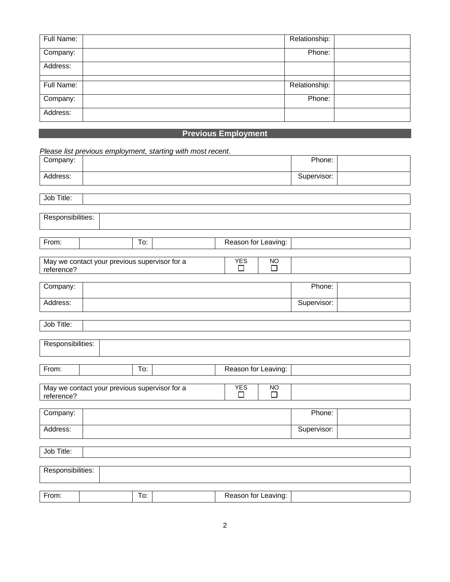| Full Name: | Relationship: |  |
|------------|---------------|--|
| Company:   | Phone:        |  |
| Address:   |               |  |
|            |               |  |
| Full Name: | Relationship: |  |
| Company:   | Phone:        |  |
| Address:   |               |  |

### **Previous Employment**

|                   |                                               |     | Please list previous employment, starting with most recent. |                                              |             |  |
|-------------------|-----------------------------------------------|-----|-------------------------------------------------------------|----------------------------------------------|-------------|--|
| Company:          |                                               |     |                                                             |                                              | Phone:      |  |
| Address:          |                                               |     |                                                             |                                              | Supervisor: |  |
| Job Title:        |                                               |     |                                                             |                                              |             |  |
|                   |                                               |     |                                                             |                                              |             |  |
| Responsibilities: |                                               |     |                                                             |                                              |             |  |
|                   |                                               |     |                                                             |                                              |             |  |
| From:             |                                               | To: |                                                             | Reason for Leaving:                          |             |  |
| reference?        | May we contact your previous supervisor for a |     |                                                             | <b>YES</b><br><b>NO</b><br>П<br>$\Box$       |             |  |
|                   |                                               |     |                                                             |                                              |             |  |
| Company:          |                                               |     |                                                             |                                              | Phone:      |  |
| Address:          |                                               |     |                                                             |                                              | Supervisor: |  |
|                   |                                               |     |                                                             |                                              |             |  |
| Job Title:        |                                               |     |                                                             |                                              |             |  |
| Responsibilities: |                                               |     |                                                             |                                              |             |  |
|                   |                                               |     |                                                             |                                              |             |  |
| From:             |                                               | To: |                                                             |                                              |             |  |
|                   |                                               |     |                                                             | Reason for Leaving:                          |             |  |
| reference?        | May we contact your previous supervisor for a |     |                                                             | <b>YES</b><br>$\overline{NO}$<br>П<br>$\Box$ |             |  |
|                   |                                               |     |                                                             |                                              |             |  |
| Company:          |                                               |     |                                                             |                                              | Phone:      |  |
| Address:          |                                               |     |                                                             |                                              | Supervisor: |  |
|                   |                                               |     |                                                             |                                              |             |  |
| Job Title:        |                                               |     |                                                             |                                              |             |  |
| Responsibilities: |                                               |     |                                                             |                                              |             |  |
|                   |                                               |     |                                                             |                                              |             |  |
| From:             |                                               | To: |                                                             | Reason for Leaving:                          |             |  |
|                   |                                               |     |                                                             |                                              |             |  |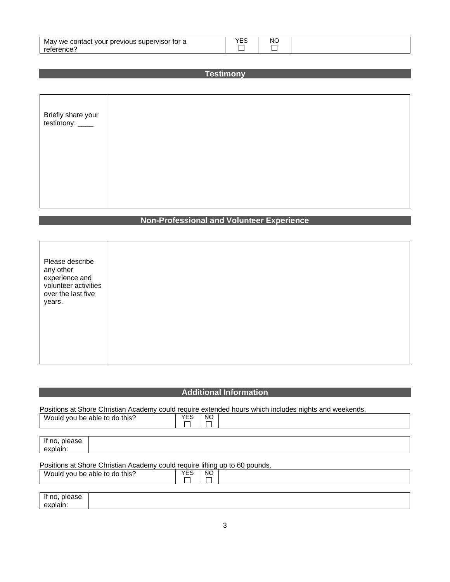| May<br>tor a<br>previous supervisor<br>we contact<br>vour | $\mathcal{L}$ | <b>NC</b> |
|-----------------------------------------------------------|---------------|-----------|
| reterence'                                                |               |           |

|  | <b>Testimony</b> |  |  |
|--|------------------|--|--|
|  |                  |  |  |
|  |                  |  |  |
|  |                  |  |  |

| Briefly share your<br>testimony: _____ |  |  |  |  |
|----------------------------------------|--|--|--|--|
|                                        |  |  |  |  |
|                                        |  |  |  |  |

# **Non-Professional and Volunteer Experience**

| Please describe<br>any other<br>experience and<br>volunteer activities<br>over the last five<br>years. |  |  |  |  |
|--------------------------------------------------------------------------------------------------------|--|--|--|--|
|--------------------------------------------------------------------------------------------------------|--|--|--|--|

## **Additional Information**

Positions at Shore Christian Academy could require extended hours which includes nights and weekends.

explain:

| Would you be able to do this? | <b>YES</b><br><b>NO</b>                                                     |  |
|-------------------------------|-----------------------------------------------------------------------------|--|
| If no, please<br>explain:     |                                                                             |  |
|                               | Positions at Shore Christian Academy could require lifting up to 60 pounds. |  |
| Would you be able to do this? | <b>YES</b><br><b>NO</b>                                                     |  |
| If no, please                 |                                                                             |  |